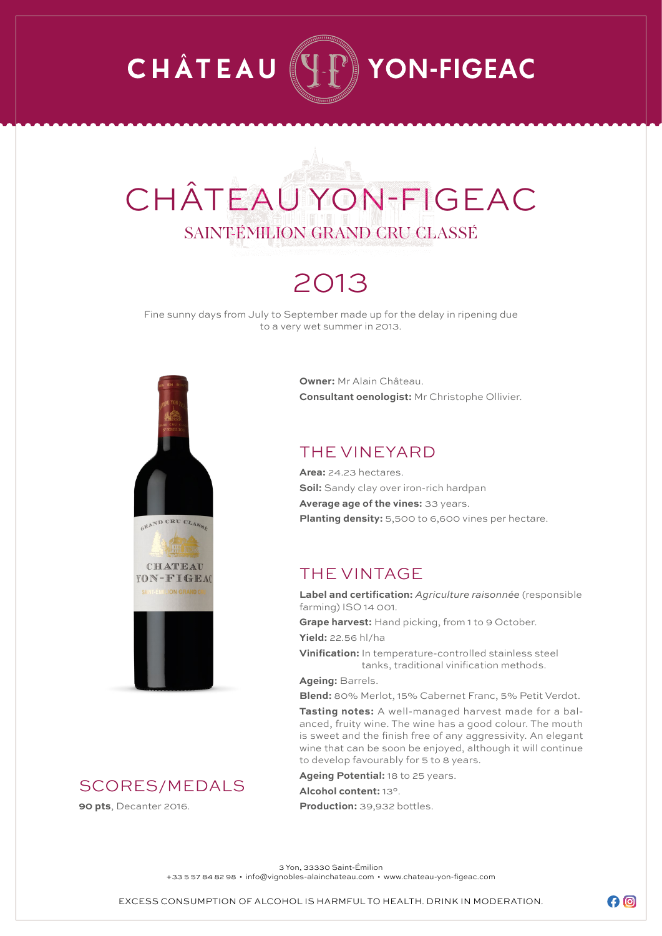## **CHÂTEAU**  $\mathbb{P}\r\}$  YON-FIGEAC

# CHÂTEAU YON-FIGEAC SAINT-ÉMILION GRAND CRU CLASSÉ

### 2013

Fine sunny days from July to September made up for the delay in ripening due to a very wet summer in 2013.



SCORES/MEDALS

**90 pts**, Decanter 2016.

**Owner:** Mr Alain Château. **Consultant oenologist:** Mr Christophe Ollivier.

#### THE VINEYARD

**Area:** 24.23 hectares. **Soil:** Sandy clay over iron-rich hardpan **Average age of the vines:** 33 years. **Planting density:** 5,500 to 6,600 vines per hectare.

#### THE VINTAGE

**Label and certification:** *Agriculture raisonnée* (responsible farming) ISO 14 001.

**Grape harvest:** Hand picking, from 1 to 9 October. **Yield:** 22.56 hl/ha

**Vinification:** In temperature-controlled stainless steel tanks, traditional vinification methods.

**Ageing:** Barrels.

**Blend:** 80% Merlot, 15% Cabernet Franc, 5% Petit Verdot.

**Tasting notes:** A well-managed harvest made for a balanced, fruity wine. The wine has a good colour. The mouth is sweet and the finish free of any aggressivity. An elegant wine that can be soon be enjoyed, although it will continue to develop favourably for 5 to 8 years.

**Ageing Potential:** 18 to 25 years.

**Alcohol content:** 13°.

**Production:** 39,932 bottles.

3 Yon, 33330 Saint-Émilion

+33 5 57 84 82 98 • info@vignobles-alainchateau.com • www.chateau-yon-figeac.com

 $\boldsymbol{\Theta}$  $\boldsymbol{\Theta}$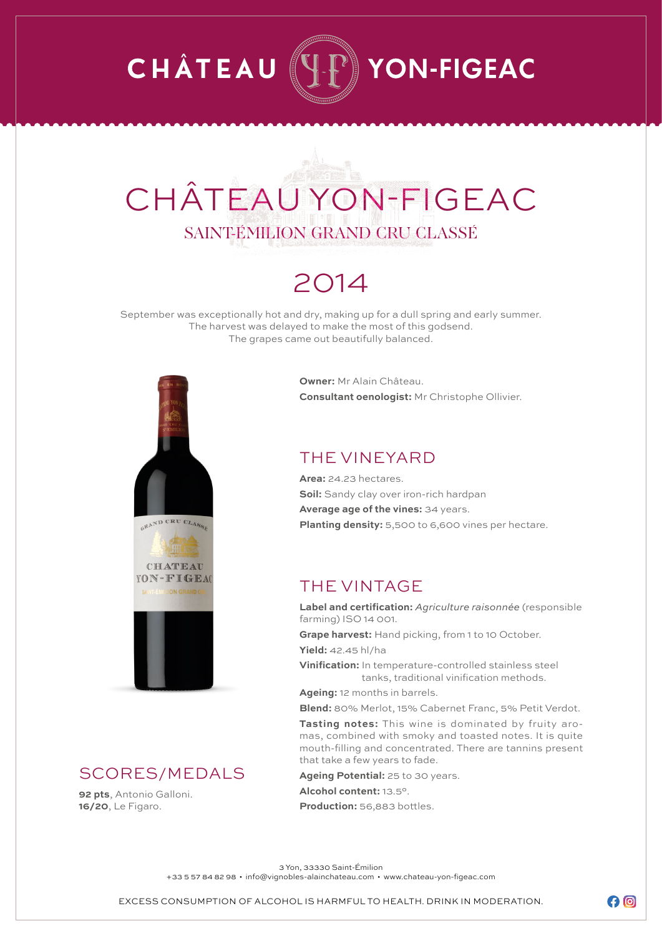## **CHÂTEAU**  $\mathbb{P}\r\}$  YON-FIGEAC

# CHÂTEAU YON-FIGEAC SAINT-ÉMILION GRAND CRU CLASSÉ

### 2014

September was exceptionally hot and dry, making up for a dull spring and early summer. The harvest was delayed to make the most of this godsend. The grapes came out beautifully balanced.



#### SCORES/MEDALS

**92 pts**, Antonio Galloni. **16/20**, Le Figaro.

**Owner:** Mr Alain Château. **Consultant oenologist:** Mr Christophe Ollivier.

#### THE VINEYARD

**Area:** 24.23 hectares. **Soil:** Sandy clay over iron-rich hardpan **Average age of the vines:** 34 years. **Planting density:** 5,500 to 6,600 vines per hectare.

#### THE VINTAGE

**Label and certification:** *Agriculture raisonnée* (responsible farming) ISO 14 001.

**Grape harvest:** Hand picking, from 1 to 10 October.

**Yield:** 42.45 hl/ha

**Vinification:** In temperature-controlled stainless steel tanks, traditional vinification methods.

**Ageing:** 12 months in barrels.

**Blend:** 80% Merlot, 15% Cabernet Franc, 5% Petit Verdot.

**Tasting notes:** This wine is dominated by fruity aromas, combined with smoky and toasted notes. It is quite mouth-filling and concentrated. There are tannins present that take a few years to fade.

**Ageing Potential:** 25 to 30 years. **Alcohol content:** 13.5°.

**Production:** 56,883 bottles.

3 Yon, 33330 Saint-Émilion

+33 5 57 84 82 98 • info@vignobles-alainchateau.com • www.chateau-yon-figeac.com

 $\boldsymbol{\Theta}$  $\boldsymbol{\Theta}$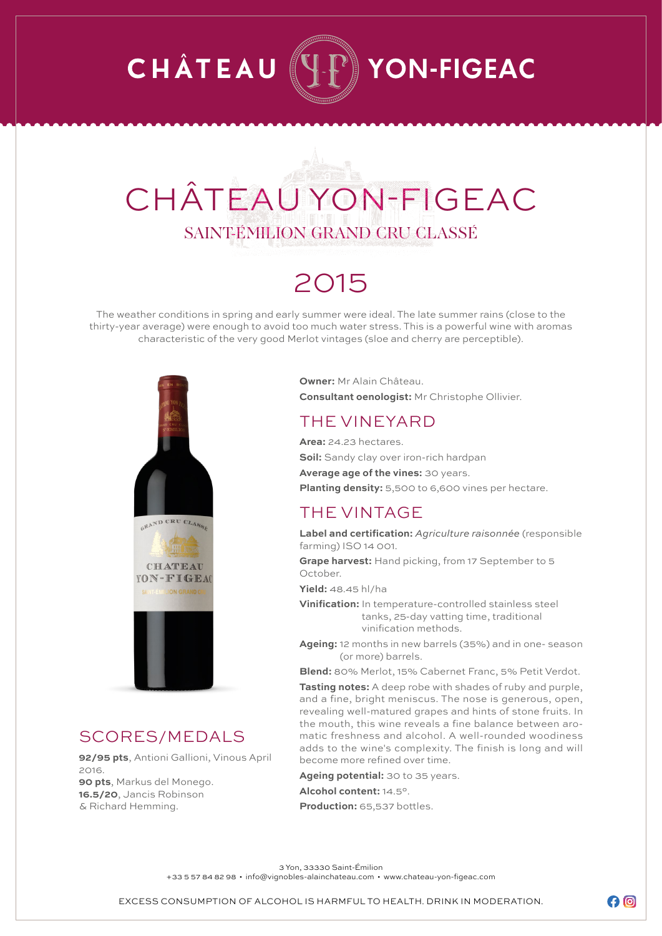## **CHÂTEAU YON-FIGEAC**

# CHÂTEAU YON-FIGEAC SAINT-ÉMILION GRAND CRU CLASSÉ

### 2015

The weather conditions in spring and early summer were ideal. The late summer rains (close to the thirty-year average) were enough to avoid too much water stress. This is a powerful wine with aromas characteristic of the very good Merlot vintages (sloe and cherry are perceptible).



#### SCORES/MEDALS

**92/95 pts**, Antioni Gallioni, Vinous April 2016. **90 pts**, Markus del Monego. **16.5/20**, Jancis Robinson & Richard Hemming.

**Owner:** Mr Alain Château. **Consultant oenologist:** Mr Christophe Ollivier.

#### THE VINEYARD

**Area:** 24.23 hectares. **Soil:** Sandy clay over iron-rich hardpan **Average age of the vines:** 30 years. **Planting density:** 5,500 to 6,600 vines per hectare.

#### THE VINTAGE

**Label and certification:** *Agriculture raisonnée* (responsible farming) ISO 14 001.

**Grape harvest:** Hand picking, from 17 September to 5 October.

**Yield:** 48.45 hl/ha

**Vinification:** In temperature-controlled stainless steel tanks, 25-day vatting time, traditional vinification methods.

**Ageing:** 12 months in new barrels (35%) and in one- season (or more) barrels.

**Blend:** 80% Merlot, 15% Cabernet Franc, 5% Petit Verdot.

**Tasting notes:** A deep robe with shades of ruby and purple, and a fine, bright meniscus. The nose is generous, open, revealing well-matured grapes and hints of stone fruits. In the mouth, this wine reveals a fine balance between aromatic freshness and alcohol. A well-rounded woodiness adds to the wine's complexity. The finish is long and will become more refined over time.

**Ageing potential:** 30 to 35 years. **Alcohol content:** 14.5°.

**Production:** 65,537 bottles.

3 Yon, 33330 Saint-Émilion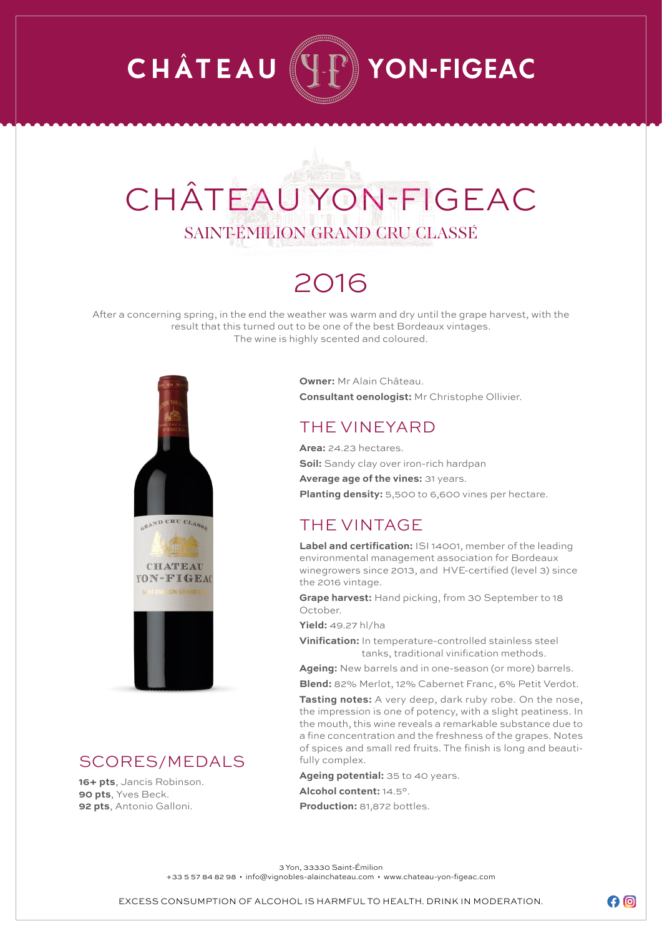## **CHÂTEAU YON-FIGEAC**

# CHÂTEAU YON-FIGEAC SAINT-ÉMILION GRAND CRU CLASSÉ

### 2016

After a concerning spring, in the end the weather was warm and dry until the grape harvest, with the result that this turned out to be one of the best Bordeaux vintages. The wine is highly scented and coloured.



#### SCORES/MEDALS

**16+ pts**, Jancis Robinson. **90 pts**, Yves Beck. **92 pts**, Antonio Galloni.

**Owner:** Mr Alain Château. **Consultant oenologist:** Mr Christophe Ollivier.

#### THE VINEYARD

**Area:** 24.23 hectares.

**Soil:** Sandy clay over iron-rich hardpan

**Average age of the vines:** 31 years.

**Planting density:** 5,500 to 6,600 vines per hectare.

#### THE VINTAGE

**Label and certification:** ISI 14001, member of the leading environmental management association for Bordeaux winegrowers since 2013, and HVE-certified (level 3) since the 2016 vintage.

**Grape harvest:** Hand picking, from 30 September to 18 October.

**Yield:** 49.27 hl/ha

**Vinification:** In temperature-controlled stainless steel tanks, traditional vinification methods.

**Ageing:** New barrels and in one-season (or more) barrels.

**Blend:** 82% Merlot, 12% Cabernet Franc, 6% Petit Verdot.

**Tasting notes:** A very deep, dark ruby robe. On the nose, the impression is one of potency, with a slight peatiness. In the mouth, this wine reveals a remarkable substance due to a fine concentration and the freshness of the grapes. Notes of spices and small red fruits. The finish is long and beautifully complex.

**Ageing potential:** 35 to 40 years. **Alcohol content:** 14.5°. **Production:** 81,872 bottles.

3 Yon, 33330 Saint-Émilion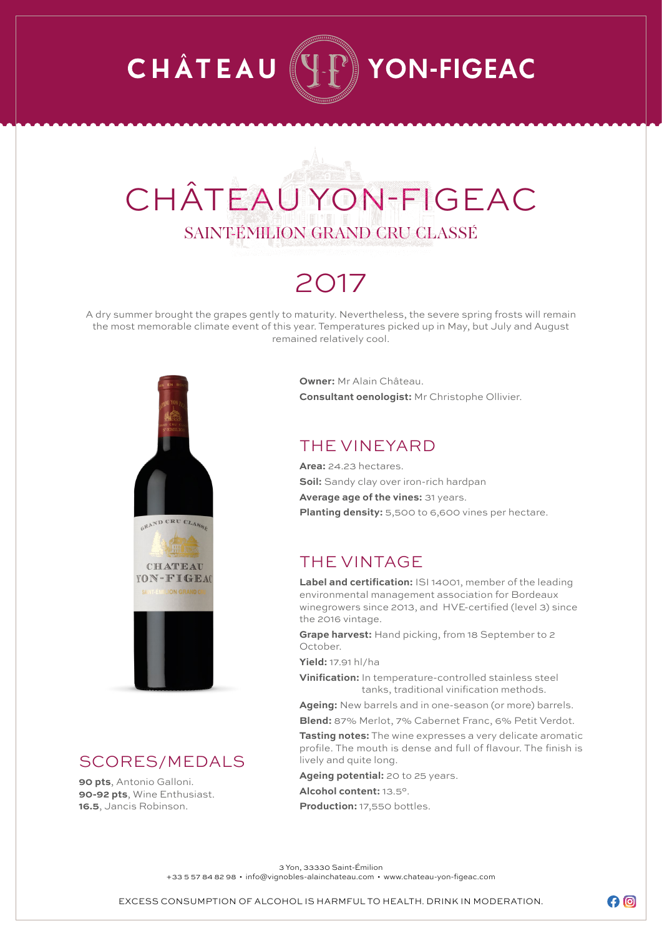## **CHÂTEAU**  $\mathbb{P}\mathbb{I}$  YON-FIGEAC

# CHÂTEAU YON-FIGEAC SAINT-ÉMILION GRAND CRU CLASSÉ

### 2017

A dry summer brought the grapes gently to maturity. Nevertheless, the severe spring frosts will remain the most memorable climate event of this year. Temperatures picked up in May, but July and August remained relatively cool.



#### SCORES/MEDALS

**90 pts**, Antonio Galloni. **90-92 pts**, Wine Enthusiast. **16.5**, Jancis Robinson.

**Owner:** Mr Alain Château. **Consultant oenologist:** Mr Christophe Ollivier.

#### THE VINEYARD

**Area:** 24.23 hectares. **Soil:** Sandy clay over iron-rich hardpan **Average age of the vines:** 31 years. **Planting density:** 5,500 to 6,600 vines per hectare.

#### THE VINTAGE

**Label and certification:** ISI 14001, member of the leading environmental management association for Bordeaux winegrowers since 2013, and HVE-certified (level 3) since the 2016 vintage.

**Grape harvest:** Hand picking, from 18 September to 2 October.

**Yield:** 17.91 hl/ha

**Vinification:** In temperature-controlled stainless steel tanks, traditional vinification methods.

**Ageing:** New barrels and in one-season (or more) barrels.

**Blend:** 87% Merlot, 7% Cabernet Franc, 6% Petit Verdot.

**Tasting notes:** The wine expresses a very delicate aromatic profile. The mouth is dense and full of flavour. The finish is lively and quite long.

**Ageing potential:** 20 to 25 years.

**Alcohol content:** 13.5°.

**Production:** 17,550 bottles.

3 Yon, 33330 Saint-Émilion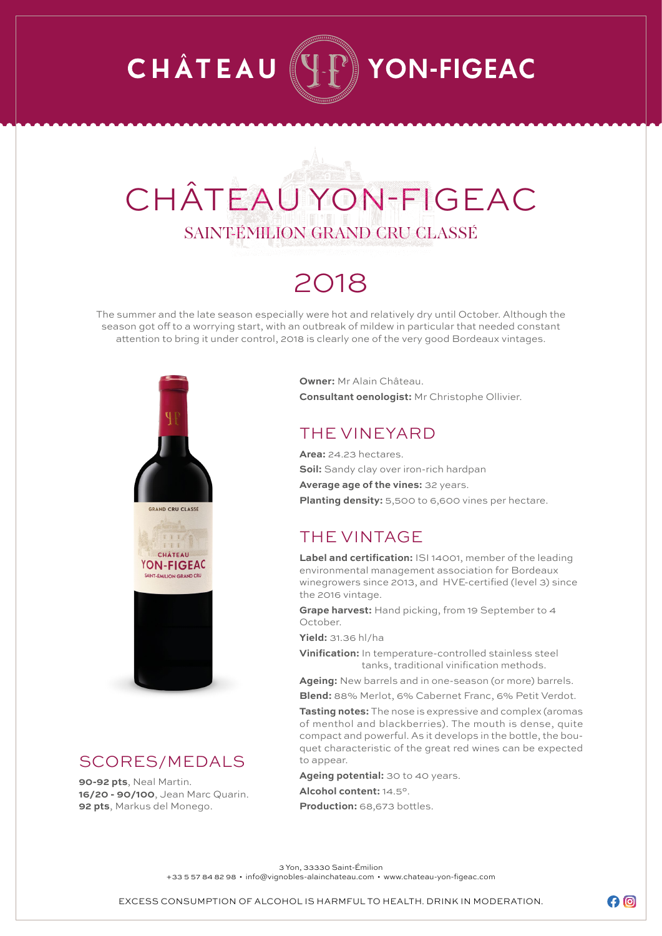## **CHÂTEAU** YON-FIGEAC

# CHÂTEAU YON-FIGEAC SAINT-ÉMILION GRAND CRU CLASSÉ

### 2018

The summer and the late season especially were hot and relatively dry until October. Although the season got off to a worrying start, with an outbreak of mildew in particular that needed constant attention to bring it under control, 2018 is clearly one of the very good Bordeaux vintages.



#### SCORES/MEDALS

**90-92 pts**, Neal Martin. **16/20 - 90/100**, Jean Marc Quarin. **92 pts**, Markus del Monego.

**Owner:** Mr Alain Château. **Consultant oenologist:** Mr Christophe Ollivier.

#### THE VINEYARD

**Area:** 24.23 hectares. **Soil:** Sandy clay over iron-rich hardpan

**Average age of the vines:** 32 years. **Planting density:** 5,500 to 6,600 vines per hectare.

#### THE VINTAGE

**Label and certification:** ISI 14001, member of the leading environmental management association for Bordeaux winegrowers since 2013, and HVE-certified (level 3) since the 2016 vintage.

**Grape harvest:** Hand picking, from 19 September to 4 October.

**Yield:** 31.36 hl/ha

**Vinification:** In temperature-controlled stainless steel tanks, traditional vinification methods.

**Ageing:** New barrels and in one-season (or more) barrels. **Blend:** 88% Merlot, 6% Cabernet Franc, 6% Petit Verdot.

**Tasting notes:** The nose is expressive and complex (aromas of menthol and blackberries). The mouth is dense, quite compact and powerful. As it develops in the bottle, the bouquet characteristic of the great red wines can be expected to appear.

**Ageing potential:** 30 to 40 years. **Alcohol content:** 14.5°.

**Production:** 68,673 bottles.

3 Yon, 33330 Saint-Émilion